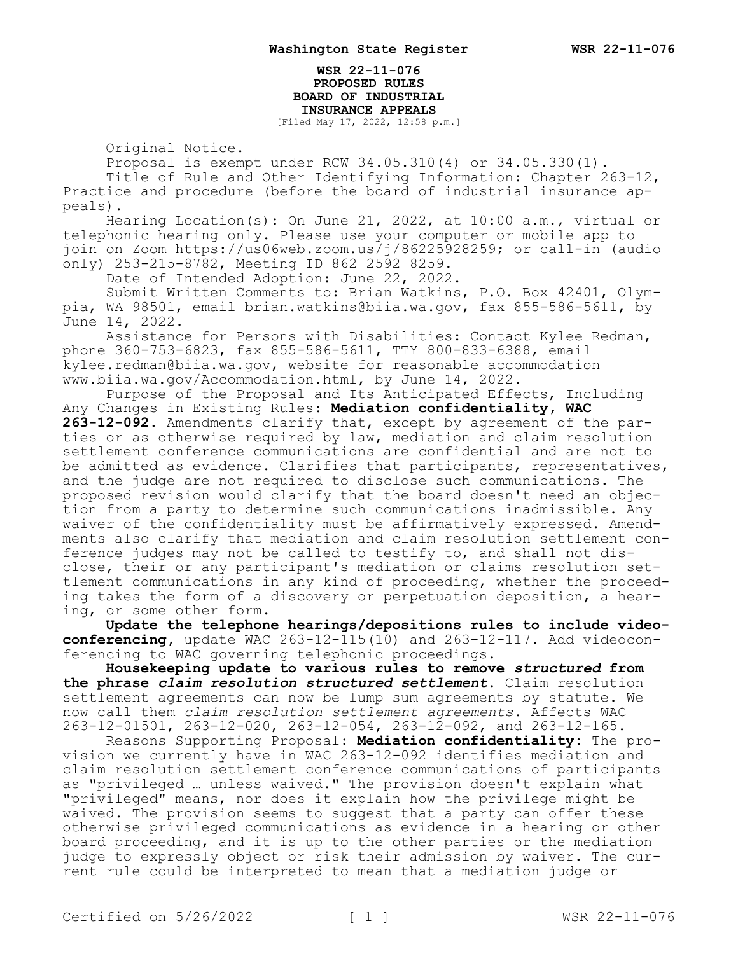**WSR 22-11-076 PROPOSED RULES BOARD OF INDUSTRIAL INSURANCE APPEALS**

[Filed May 17, 2022, 12:58 p.m.]

Original Notice.

Proposal is exempt under RCW 34.05.310(4) or 34.05.330(1).

Title of Rule and Other Identifying Information: Chapter 263-12, Practice and procedure (before the board of industrial insurance appeals).

Hearing Location(s): On June 21, 2022, at 10:00 a.m., virtual or telephonic hearing only. Please use your computer or mobile app to join on Zoom https://us06web.zoom.us/j/86225928259; or call-in (audio only) 253-215-8782, Meeting ID 862 2592 8259.

Date of Intended Adoption: June 22, 2022.

Submit Written Comments to: Brian Watkins, P.O. Box 42401, Olympia, WA 98501, email brian.watkins@biia.wa.gov, fax 855-586-5611, by June 14, 2022.

Assistance for Persons with Disabilities: Contact Kylee Redman, phone 360-753-6823, fax 855-586-5611, TTY 800-833-6388, email kylee.redman@biia.wa.gov, website for reasonable accommodation www.biia.wa.gov/Accommodation.html, by June 14, 2022.

Purpose of the Proposal and Its Anticipated Effects, Including Any Changes in Existing Rules: **Mediation confidentiality, WAC 263-12-092.** Amendments clarify that, except by agreement of the parties or as otherwise required by law, mediation and claim resolution settlement conference communications are confidential and are not to be admitted as evidence. Clarifies that participants, representatives, and the judge are not required to disclose such communications. The proposed revision would clarify that the board doesn't need an objection from a party to determine such communications inadmissible. Any waiver of the confidentiality must be affirmatively expressed. Amendments also clarify that mediation and claim resolution settlement conference judges may not be called to testify to, and shall not disclose, their or any participant's mediation or claims resolution settlement communications in any kind of proceeding, whether the proceeding takes the form of a discovery or perpetuation deposition, a hearing, or some other form.

**Update the telephone hearings/depositions rules to include videoconferencing,** update WAC 263-12-115(10) and 263-12-117. Add videoconferencing to WAC governing telephonic proceedings.

**Housekeeping update to various rules to remove** *structured* **from the phrase** *claim resolution structured settlement***.** Claim resolution settlement agreements can now be lump sum agreements by statute. We now call them *claim resolution settlement agreements*. Affects WAC 263-12-01501, 263-12-020, 263-12-054, 263-12-092, and 263-12-165.

Reasons Supporting Proposal: **Mediation confidentiality:** The provision we currently have in WAC 263-12-092 identifies mediation and claim resolution settlement conference communications of participants as "privileged … unless waived." The provision doesn't explain what "privileged" means, nor does it explain how the privilege might be waived. The provision seems to suggest that a party can offer these otherwise privileged communications as evidence in a hearing or other board proceeding, and it is up to the other parties or the mediation judge to expressly object or risk their admission by waiver. The current rule could be interpreted to mean that a mediation judge or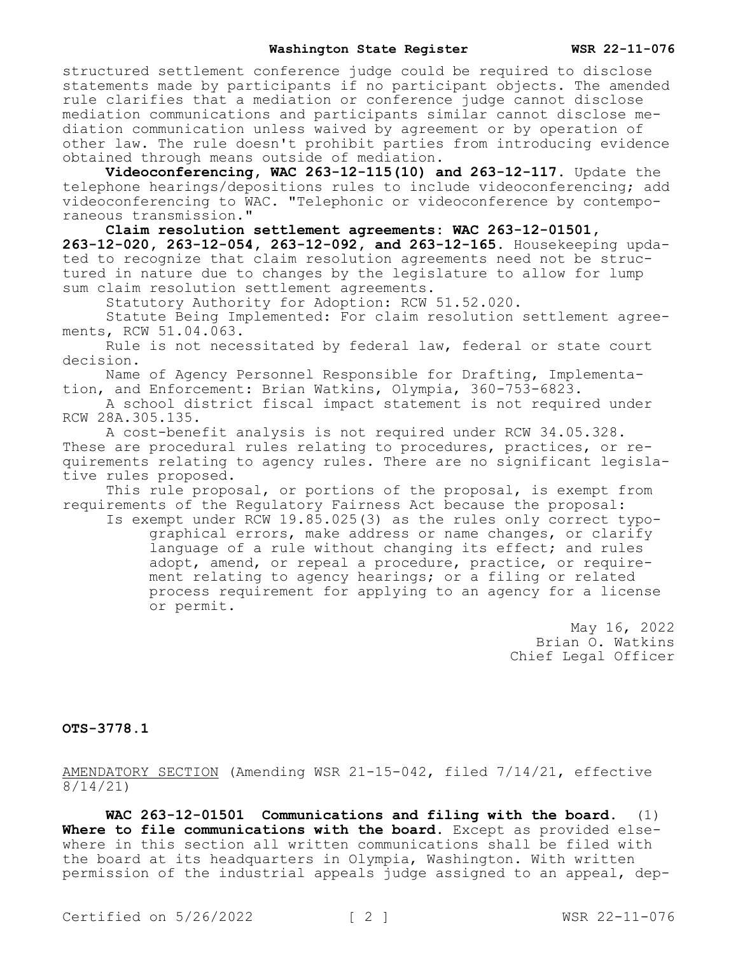structured settlement conference judge could be required to disclose statements made by participants if no participant objects. The amended rule clarifies that a mediation or conference judge cannot disclose mediation communications and participants similar cannot disclose mediation communication unless waived by agreement or by operation of other law. The rule doesn't prohibit parties from introducing evidence obtained through means outside of mediation.

**Videoconferencing, WAC 263-12-115(10) and 263-12-117.** Update the telephone hearings/depositions rules to include videoconferencing; add videoconferencing to WAC. "Telephonic or videoconference by contemporaneous transmission."

**Claim resolution settlement agreements: WAC 263-12-01501, 263-12-020, 263-12-054, 263-12-092, and 263-12-165.** Housekeeping updated to recognize that claim resolution agreements need not be structured in nature due to changes by the legislature to allow for lump sum claim resolution settlement agreements.

Statutory Authority for Adoption: RCW 51.52.020.

Statute Being Implemented: For claim resolution settlement agreements, RCW 51.04.063.

Rule is not necessitated by federal law, federal or state court decision.

Name of Agency Personnel Responsible for Drafting, Implementation, and Enforcement: Brian Watkins, Olympia, 360-753-6823.

A school district fiscal impact statement is not required under RCW 28A.305.135.

A cost-benefit analysis is not required under RCW 34.05.328. These are procedural rules relating to procedures, practices, or requirements relating to agency rules. There are no significant legislative rules proposed.

This rule proposal, or portions of the proposal, is exempt from requirements of the Regulatory Fairness Act because the proposal:

Is exempt under RCW 19.85.025(3) as the rules only correct typographical errors, make address or name changes, or clarify language of a rule without changing its effect; and rules adopt, amend, or repeal a procedure, practice, or requirement relating to agency hearings; or a filing or related process requirement for applying to an agency for a license or permit.

> May 16, 2022 Brian O. Watkins Chief Legal Officer

**OTS-3778.1**

AMENDATORY SECTION (Amending WSR 21-15-042, filed 7/14/21, effective 8/14/21)

**WAC 263-12-01501 Communications and filing with the board.** (1) **Where to file communications with the board.** Except as provided elsewhere in this section all written communications shall be filed with the board at its headquarters in Olympia, Washington. With written permission of the industrial appeals judge assigned to an appeal, dep-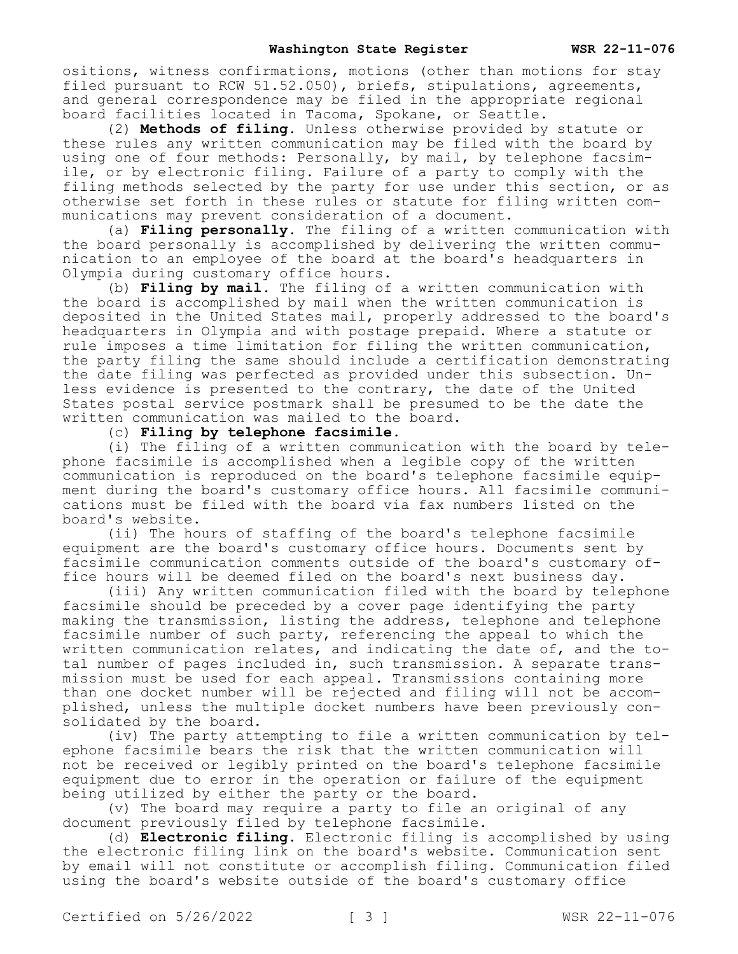ositions, witness confirmations, motions (other than motions for stay filed pursuant to RCW 51.52.050), briefs, stipulations, agreements, and general correspondence may be filed in the appropriate regional board facilities located in Tacoma, Spokane, or Seattle.

(2) **Methods of filing.** Unless otherwise provided by statute or these rules any written communication may be filed with the board by using one of four methods: Personally, by mail, by telephone facsimile, or by electronic filing. Failure of a party to comply with the filing methods selected by the party for use under this section, or as otherwise set forth in these rules or statute for filing written communications may prevent consideration of a document.

(a) **Filing personally.** The filing of a written communication with the board personally is accomplished by delivering the written communication to an employee of the board at the board's headquarters in Olympia during customary office hours.

(b) **Filing by mail.** The filing of a written communication with the board is accomplished by mail when the written communication is deposited in the United States mail, properly addressed to the board's headquarters in Olympia and with postage prepaid. Where a statute or rule imposes a time limitation for filing the written communication, the party filing the same should include a certification demonstrating the date filing was perfected as provided under this subsection. Unless evidence is presented to the contrary, the date of the United States postal service postmark shall be presumed to be the date the written communication was mailed to the board.

(c) **Filing by telephone facsimile.**

(i) The filing of a written communication with the board by telephone facsimile is accomplished when a legible copy of the written communication is reproduced on the board's telephone facsimile equipment during the board's customary office hours. All facsimile communications must be filed with the board via fax numbers listed on the board's website.

(ii) The hours of staffing of the board's telephone facsimile equipment are the board's customary office hours. Documents sent by facsimile communication comments outside of the board's customary office hours will be deemed filed on the board's next business day.

(iii) Any written communication filed with the board by telephone facsimile should be preceded by a cover page identifying the party making the transmission, listing the address, telephone and telephone facsimile number of such party, referencing the appeal to which the written communication relates, and indicating the date of, and the total number of pages included in, such transmission. A separate transmission must be used for each appeal. Transmissions containing more than one docket number will be rejected and filing will not be accomplished, unless the multiple docket numbers have been previously consolidated by the board.

(iv) The party attempting to file a written communication by telephone facsimile bears the risk that the written communication will not be received or legibly printed on the board's telephone facsimile equipment due to error in the operation or failure of the equipment being utilized by either the party or the board.

(v) The board may require a party to file an original of any document previously filed by telephone facsimile.

(d) **Electronic filing.** Electronic filing is accomplished by using the electronic filing link on the board's website. Communication sent by email will not constitute or accomplish filing. Communication filed using the board's website outside of the board's customary office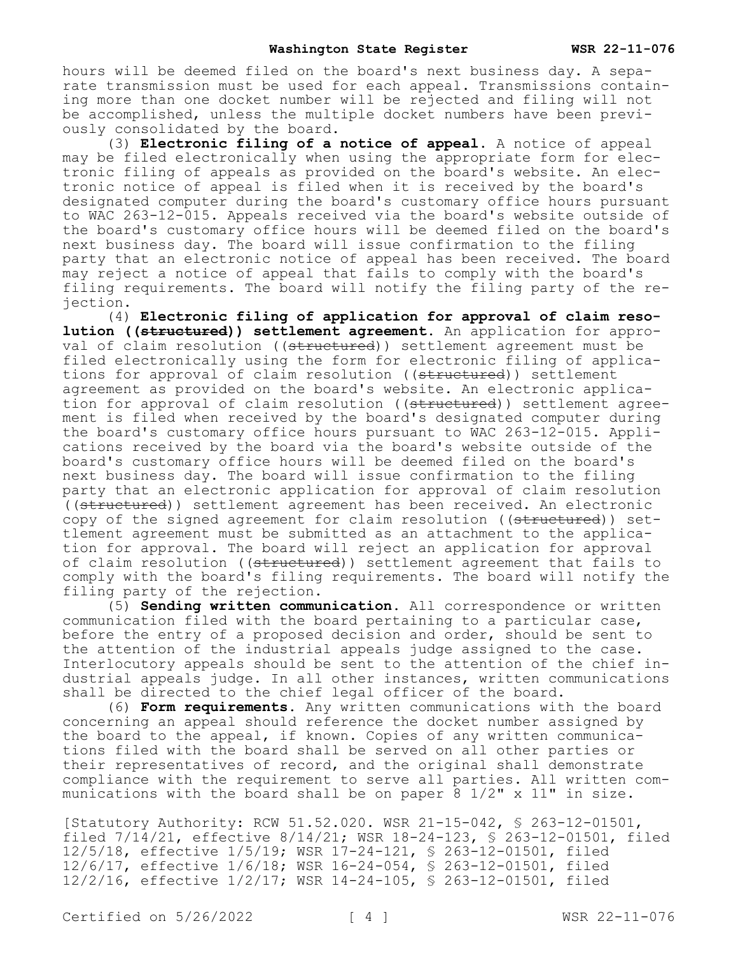hours will be deemed filed on the board's next business day. A separate transmission must be used for each appeal. Transmissions containing more than one docket number will be rejected and filing will not be accomplished, unless the multiple docket numbers have been previously consolidated by the board.

(3) **Electronic filing of a notice of appeal.** A notice of appeal may be filed electronically when using the appropriate form for electronic filing of appeals as provided on the board's website. An electronic notice of appeal is filed when it is received by the board's designated computer during the board's customary office hours pursuant to WAC 263-12-015. Appeals received via the board's website outside of the board's customary office hours will be deemed filed on the board's next business day. The board will issue confirmation to the filing party that an electronic notice of appeal has been received. The board may reject a notice of appeal that fails to comply with the board's filing requirements. The board will notify the filing party of the rejection.

(4) **Electronic filing of application for approval of claim resolution ((structured)) settlement agreement.** An application for approval of claim resolution ((structured)) settlement agreement must be filed electronically using the form for electronic filing of applications for approval of claim resolution ((structured)) settlement agreement as provided on the board's website. An electronic application for approval of claim resolution ((structured)) settlement agreement is filed when received by the board's designated computer during the board's customary office hours pursuant to WAC 263-12-015. Applications received by the board via the board's website outside of the board's customary office hours will be deemed filed on the board's next business day. The board will issue confirmation to the filing party that an electronic application for approval of claim resolution ((structured)) settlement agreement has been received. An electronic copy of the signed agreement for claim resolution ((structured)) settlement agreement must be submitted as an attachment to the application for approval. The board will reject an application for approval of claim resolution ((structured)) settlement agreement that fails to comply with the board's filing requirements. The board will notify the filing party of the rejection.

(5) **Sending written communication.** All correspondence or written communication filed with the board pertaining to a particular case, before the entry of a proposed decision and order, should be sent to the attention of the industrial appeals judge assigned to the case. Interlocutory appeals should be sent to the attention of the chief industrial appeals judge. In all other instances, written communications shall be directed to the chief legal officer of the board.

(6) **Form requirements.** Any written communications with the board concerning an appeal should reference the docket number assigned by the board to the appeal, if known. Copies of any written communications filed with the board shall be served on all other parties or their representatives of record, and the original shall demonstrate compliance with the requirement to serve all parties. All written communications with the board shall be on paper 8  $1/2$ " x  $11$ " in size.

[Statutory Authority: RCW 51.52.020. WSR 21-15-042, § 263-12-01501, filed 7/14/21, effective 8/14/21; WSR 18-24-123, § 263-12-01501, filed 12/5/18, effective 1/5/19; WSR 17-24-121, § 263-12-01501, filed 12/6/17, effective 1/6/18; WSR 16-24-054, § 263-12-01501, filed 12/2/16, effective 1/2/17; WSR 14-24-105, § 263-12-01501, filed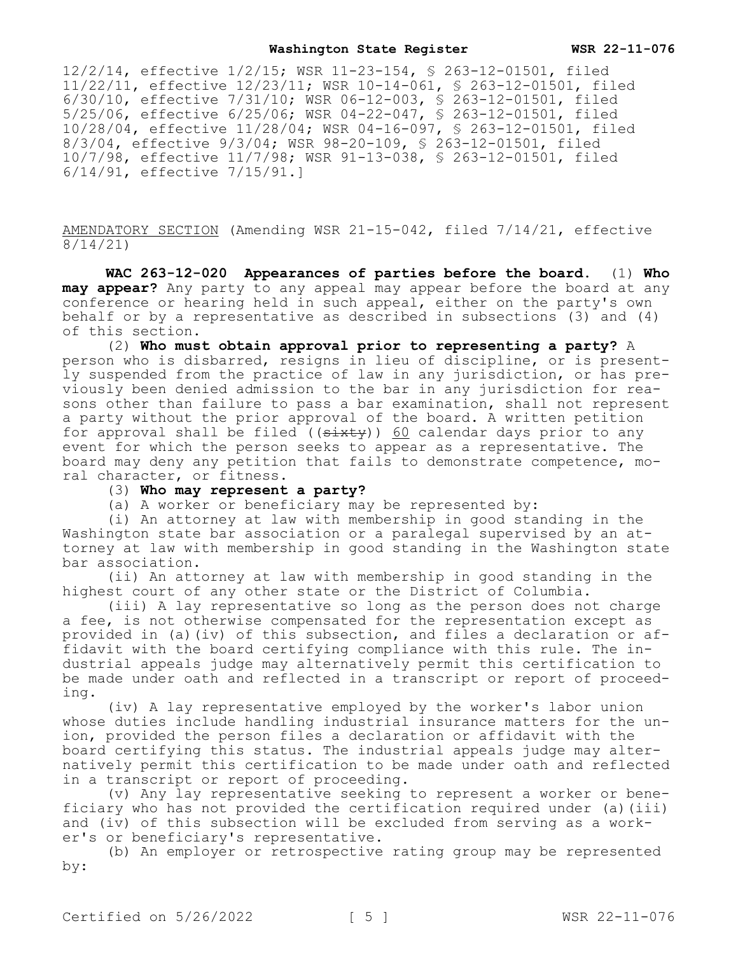12/2/14, effective 1/2/15; WSR 11-23-154, § 263-12-01501, filed 11/22/11, effective 12/23/11; WSR 10-14-061, § 263-12-01501, filed 6/30/10, effective 7/31/10; WSR 06-12-003, § 263-12-01501, filed 5/25/06, effective 6/25/06; WSR 04-22-047, § 263-12-01501, filed 10/28/04, effective 11/28/04; WSR 04-16-097, § 263-12-01501, filed 8/3/04, effective 9/3/04; WSR 98-20-109, § 263-12-01501, filed 10/7/98, effective 11/7/98; WSR 91-13-038, § 263-12-01501, filed 6/14/91, effective 7/15/91.]

AMENDATORY SECTION (Amending WSR 21-15-042, filed 7/14/21, effective 8/14/21)

**WAC 263-12-020 Appearances of parties before the board.** (1) **Who may appear?** Any party to any appeal may appear before the board at any conference or hearing held in such appeal, either on the party's own behalf or by a representative as described in subsections (3) and (4) of this section.

(2) **Who must obtain approval prior to representing a party?** A person who is disbarred, resigns in lieu of discipline, or is presently suspended from the practice of law in any jurisdiction, or has previously been denied admission to the bar in any jurisdiction for reasons other than failure to pass a bar examination, shall not represent a party without the prior approval of the board. A written petition for approval shall be filed  $((sixty))$  60 calendar days prior to any event for which the person seeks to appear as a representative. The board may deny any petition that fails to demonstrate competence, moral character, or fitness.

# (3) **Who may represent a party?**

(a) A worker or beneficiary may be represented by:

(i) An attorney at law with membership in good standing in the Washington state bar association or a paralegal supervised by an attorney at law with membership in good standing in the Washington state bar association.

(ii) An attorney at law with membership in good standing in the highest court of any other state or the District of Columbia.

(iii) A lay representative so long as the person does not charge a fee, is not otherwise compensated for the representation except as provided in (a)(iv) of this subsection, and files a declaration or affidavit with the board certifying compliance with this rule. The industrial appeals judge may alternatively permit this certification to be made under oath and reflected in a transcript or report of proceeding.

(iv) A lay representative employed by the worker's labor union whose duties include handling industrial insurance matters for the union, provided the person files a declaration or affidavit with the board certifying this status. The industrial appeals judge may alternatively permit this certification to be made under oath and reflected in a transcript or report of proceeding.

(v) Any lay representative seeking to represent a worker or beneficiary who has not provided the certification required under (a)(iii) and (iv) of this subsection will be excluded from serving as a worker's or beneficiary's representative.

(b) An employer or retrospective rating group may be represented by: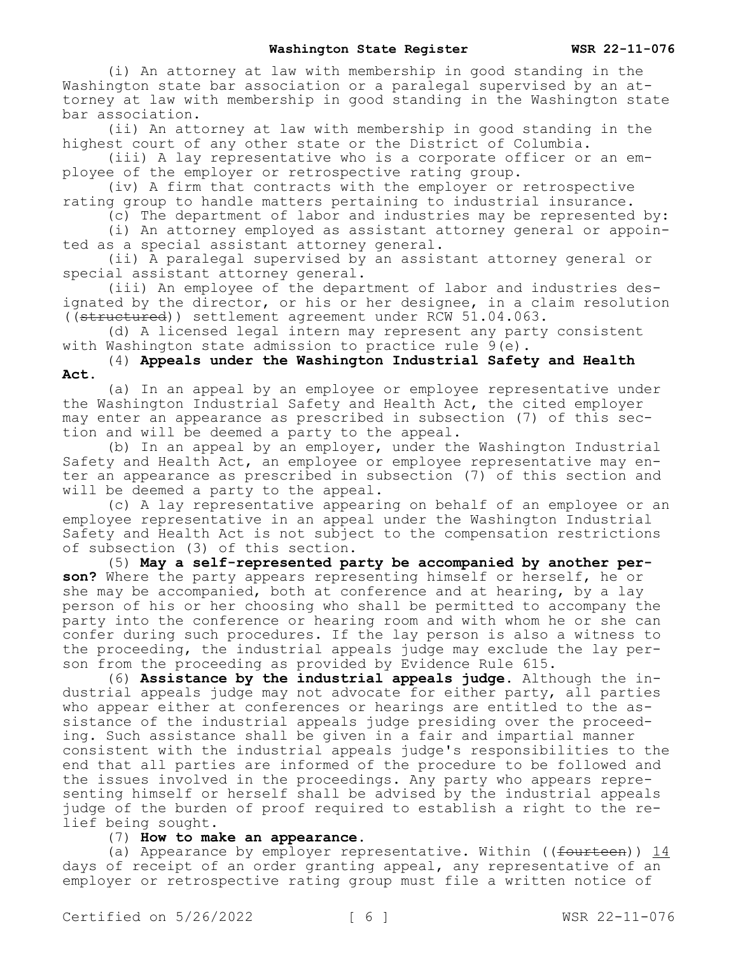(i) An attorney at law with membership in good standing in the Washington state bar association or a paralegal supervised by an attorney at law with membership in good standing in the Washington state bar association.

(ii) An attorney at law with membership in good standing in the highest court of any other state or the District of Columbia.

(iii) A lay representative who is a corporate officer or an employee of the employer or retrospective rating group.

(iv) A firm that contracts with the employer or retrospective rating group to handle matters pertaining to industrial insurance.

(c) The department of labor and industries may be represented by:

(i) An attorney employed as assistant attorney general or appointed as a special assistant attorney general.

(ii) A paralegal supervised by an assistant attorney general or special assistant attorney general.

(iii) An employee of the department of labor and industries designated by the director, or his or her designee, in a claim resolution ((structured)) settlement agreement under RCW 51.04.063.

(d) A licensed legal intern may represent any party consistent with Washington state admission to practice rule 9(e).

(4) **Appeals under the Washington Industrial Safety and Health Act.**

(a) In an appeal by an employee or employee representative under the Washington Industrial Safety and Health Act, the cited employer may enter an appearance as prescribed in subsection (7) of this section and will be deemed a party to the appeal.

(b) In an appeal by an employer, under the Washington Industrial Safety and Health Act, an employee or employee representative may enter an appearance as prescribed in subsection (7) of this section and will be deemed a party to the appeal.

(c) A lay representative appearing on behalf of an employee or an employee representative in an appeal under the Washington Industrial Safety and Health Act is not subject to the compensation restrictions of subsection (3) of this section.

(5) **May a self-represented party be accompanied by another person?** Where the party appears representing himself or herself, he or she may be accompanied, both at conference and at hearing, by a lay person of his or her choosing who shall be permitted to accompany the party into the conference or hearing room and with whom he or she can confer during such procedures. If the lay person is also a witness to the proceeding, the industrial appeals judge may exclude the lay person from the proceeding as provided by Evidence Rule 615.

(6) **Assistance by the industrial appeals judge.** Although the industrial appeals judge may not advocate for either party, all parties who appear either at conferences or hearings are entitled to the assistance of the industrial appeals judge presiding over the proceeding. Such assistance shall be given in a fair and impartial manner consistent with the industrial appeals judge's responsibilities to the end that all parties are informed of the procedure to be followed and the issues involved in the proceedings. Any party who appears representing himself or herself shall be advised by the industrial appeals judge of the burden of proof required to establish a right to the relief being sought.

(7) **How to make an appearance.**

(a) Appearance by employer representative. Within ((fourteen)) 14 days of receipt of an order granting appeal, any representative of an employer or retrospective rating group must file a written notice of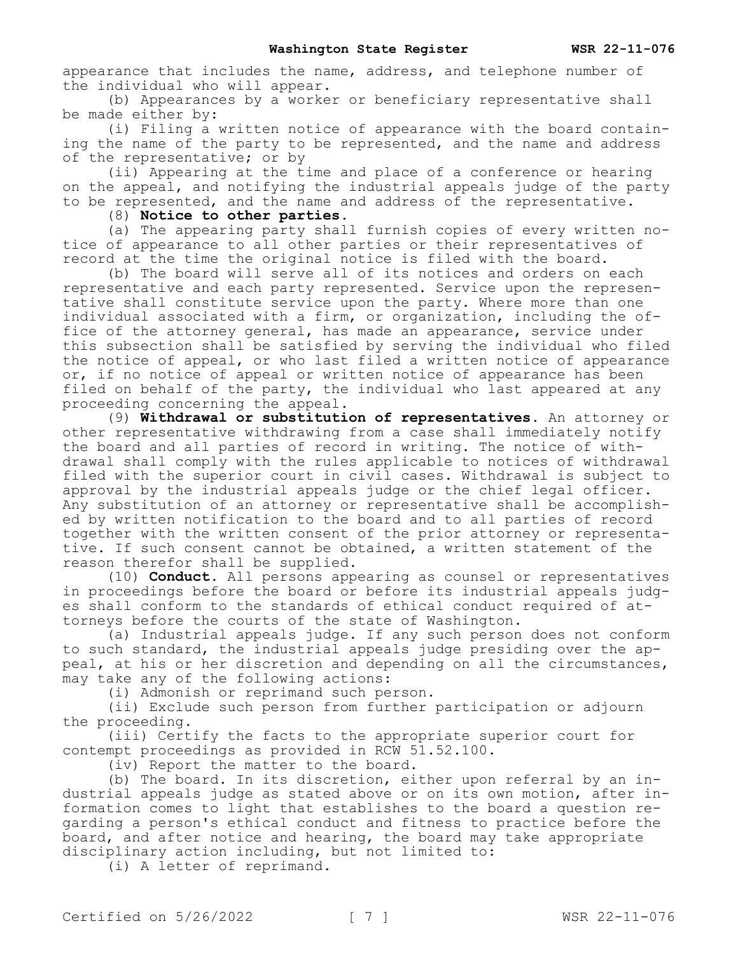appearance that includes the name, address, and telephone number of the individual who will appear.

(b) Appearances by a worker or beneficiary representative shall be made either by:

(i) Filing a written notice of appearance with the board containing the name of the party to be represented, and the name and address of the representative; or by

(ii) Appearing at the time and place of a conference or hearing on the appeal, and notifying the industrial appeals judge of the party to be represented, and the name and address of the representative.

(8) **Notice to other parties.**

(a) The appearing party shall furnish copies of every written notice of appearance to all other parties or their representatives of record at the time the original notice is filed with the board.

(b) The board will serve all of its notices and orders on each representative and each party represented. Service upon the representative shall constitute service upon the party. Where more than one individual associated with a firm, or organization, including the office of the attorney general, has made an appearance, service under this subsection shall be satisfied by serving the individual who filed the notice of appeal, or who last filed a written notice of appearance or, if no notice of appeal or written notice of appearance has been filed on behalf of the party, the individual who last appeared at any proceeding concerning the appeal.

(9) **Withdrawal or substitution of representatives.** An attorney or other representative withdrawing from a case shall immediately notify the board and all parties of record in writing. The notice of withdrawal shall comply with the rules applicable to notices of withdrawal filed with the superior court in civil cases. Withdrawal is subject to approval by the industrial appeals judge or the chief legal officer. Any substitution of an attorney or representative shall be accomplished by written notification to the board and to all parties of record together with the written consent of the prior attorney or representative. If such consent cannot be obtained, a written statement of the reason therefor shall be supplied.

(10) **Conduct.** All persons appearing as counsel or representatives in proceedings before the board or before its industrial appeals judges shall conform to the standards of ethical conduct required of attorneys before the courts of the state of Washington.

(a) Industrial appeals judge. If any such person does not conform to such standard, the industrial appeals judge presiding over the appeal, at his or her discretion and depending on all the circumstances, may take any of the following actions:

(i) Admonish or reprimand such person.

(ii) Exclude such person from further participation or adjourn the proceeding.

(iii) Certify the facts to the appropriate superior court for contempt proceedings as provided in RCW 51.52.100.

(iv) Report the matter to the board.

(b) The board. In its discretion, either upon referral by an industrial appeals judge as stated above or on its own motion, after information comes to light that establishes to the board a question regarding a person's ethical conduct and fitness to practice before the board, and after notice and hearing, the board may take appropriate disciplinary action including, but not limited to:

(i) A letter of reprimand.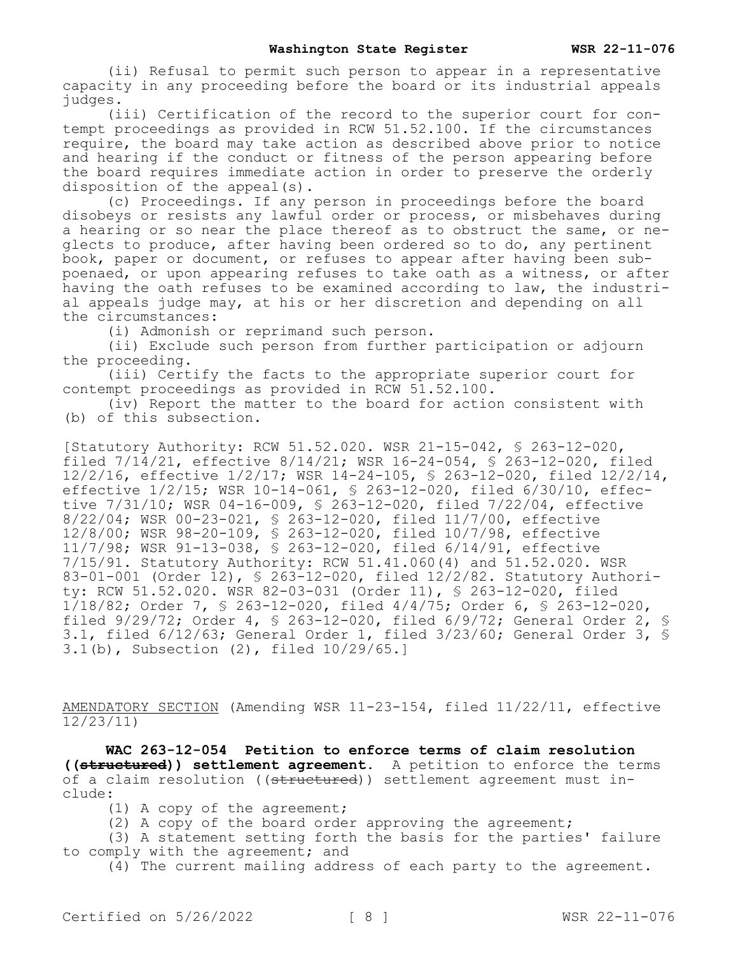(ii) Refusal to permit such person to appear in a representative capacity in any proceeding before the board or its industrial appeals judges.

(iii) Certification of the record to the superior court for contempt proceedings as provided in RCW 51.52.100. If the circumstances require, the board may take action as described above prior to notice and hearing if the conduct or fitness of the person appearing before the board requires immediate action in order to preserve the orderly disposition of the appeal(s).

(c) Proceedings. If any person in proceedings before the board disobeys or resists any lawful order or process, or misbehaves during a hearing or so near the place thereof as to obstruct the same, or neglects to produce, after having been ordered so to do, any pertinent book, paper or document, or refuses to appear after having been subpoenaed, or upon appearing refuses to take oath as a witness, or after having the oath refuses to be examined according to law, the industrial appeals judge may, at his or her discretion and depending on all the circumstances:

(i) Admonish or reprimand such person.

(ii) Exclude such person from further participation or adjourn the proceeding.

(iii) Certify the facts to the appropriate superior court for contempt proceedings as provided in RCW 51.52.100.

(iv) Report the matter to the board for action consistent with (b) of this subsection.

[Statutory Authority: RCW 51.52.020. WSR 21-15-042, § 263-12-020, filed  $7/14/21$ , effective  $8/14/21$ ; WSR 16-24-054, § 263-12-020, filed 12/2/16, effective 1/2/17; WSR 14-24-105, § 263-12-020, filed 12/2/14, effective 1/2/15; WSR 10-14-061, § 263-12-020, filed 6/30/10, effective 7/31/10; WSR 04-16-009, § 263-12-020, filed 7/22/04, effective 8/22/04; WSR 00-23-021, § 263-12-020, filed 11/7/00, effective 12/8/00; WSR 98-20-109, § 263-12-020, filed 10/7/98, effective 11/7/98; WSR 91-13-038, § 263-12-020, filed 6/14/91, effective 7/15/91. Statutory Authority: RCW 51.41.060(4) and 51.52.020. WSR 83-01-001 (Order 12), § 263-12-020, filed 12/2/82. Statutory Authority: RCW 51.52.020. WSR 82-03-031 (Order 11), § 263-12-020, filed 1/18/82; Order 7, § 263-12-020, filed 4/4/75; Order 6, § 263-12-020, filed 9/29/72; Order 4, § 263-12-020, filed 6/9/72; General Order 2, § 3.1, filed 6/12/63; General Order 1, filed 3/23/60; General Order 3, § 3.1(b), Subsection (2), filed 10/29/65.]

AMENDATORY SECTION (Amending WSR 11-23-154, filed 11/22/11, effective 12/23/11)

**WAC 263-12-054 Petition to enforce terms of claim resolution ((structured)) settlement agreement.** A petition to enforce the terms of a claim resolution ((structured)) settlement agreement must include:

(1) A copy of the agreement;

(2) A copy of the board order approving the agreement;

(3) A statement setting forth the basis for the parties' failure to comply with the agreement; and

(4) The current mailing address of each party to the agreement.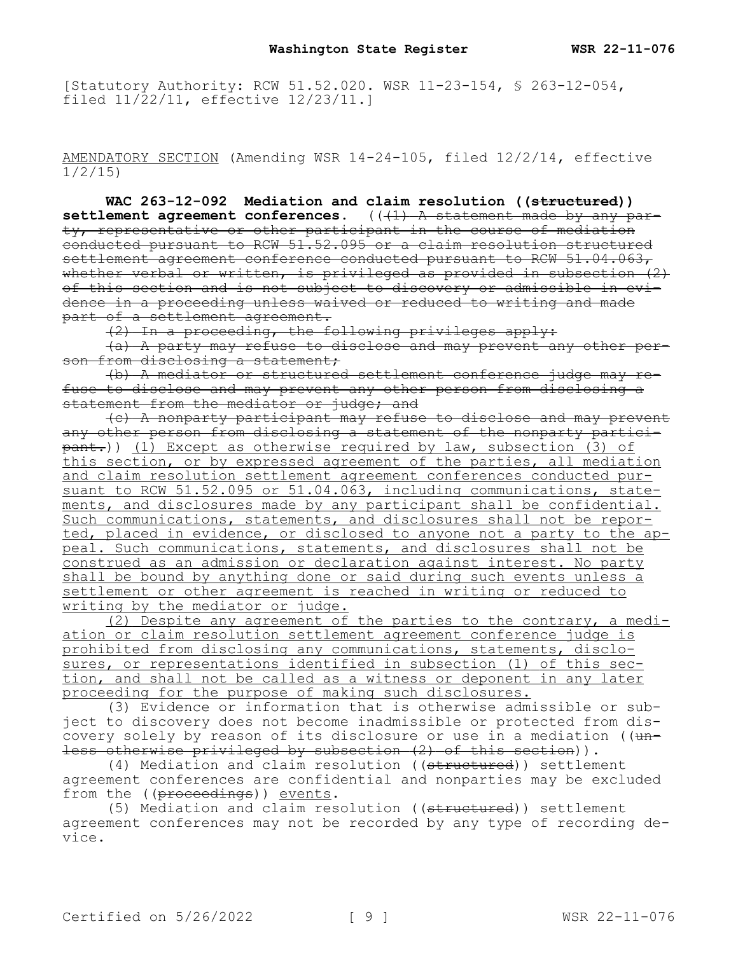[Statutory Authority: RCW 51.52.020. WSR 11-23-154, § 263-12-054, filed 11/22/11, effective 12/23/11.]

AMENDATORY SECTION (Amending WSR 14-24-105, filed 12/2/14, effective 1/2/15)

**WAC 263-12-092 Mediation and claim resolution ((structured))**  settlement agreement conferences. (( $\left(1\right)$  A statement made by any party, representative or other participant in the course of mediation conducted pursuant to RCW 51.52.095 or a claim resolution structured settlement agreement conference conducted pursuant to RCW 51.04.063, whether verbal or written, is privileged as provided in subsection  $(2)$ of this section and is not subject to discovery or admissible in evidence in a proceeding unless waived or reduced to writing and made part of a settlement agreement.

(2) In a proceeding, the following privileges apply:

(a) A party may refuse to disclose and may prevent any other person from disclosing a statement;

(b) A mediator or structured settlement conference judge may refuse to disclose and may prevent any other person from disclosing a statement from the mediator or judge; and

(c) A nonparty participant may refuse to disclose and may prevent any other person from disclosing a statement of the nonparty partici- $\overline{pant.})$ ) (1) Except as otherwise required by law, subsection (3) of this section, or by expressed agreement of the parties, all mediation and claim resolution settlement agreement conferences conducted pursuant to RCW 51.52.095 or 51.04.063, including communications, statements, and disclosures made by any participant shall be confidential. Such communications, statements, and disclosures shall not be reported, placed in evidence, or disclosed to anyone not a party to the appeal. Such communications, statements, and disclosures shall not be construed as an admission or declaration against interest. No party shall be bound by anything done or said during such events unless a settlement or other agreement is reached in writing or reduced to writing by the mediator or judge.

(2) Despite any agreement of the parties to the contrary, a mediation or claim resolution settlement agreement conference judge is prohibited from disclosing any communications, statements, disclosures, or representations identified in subsection (1) of this section, and shall not be called as a witness or deponent in any later proceeding for the purpose of making such disclosures.

(3) Evidence or information that is otherwise admissible or subject to discovery does not become inadmissible or protected from discovery solely by reason of its disclosure or use in a mediation (( $u$ nless otherwise privileged by subsection (2) of this section)).

(4) Mediation and claim resolution ((structured)) settlement agreement conferences are confidential and nonparties may be excluded from the ((proceedings)) events.

(5) Mediation and claim resolution ((structured)) settlement agreement conferences may not be recorded by any type of recording device.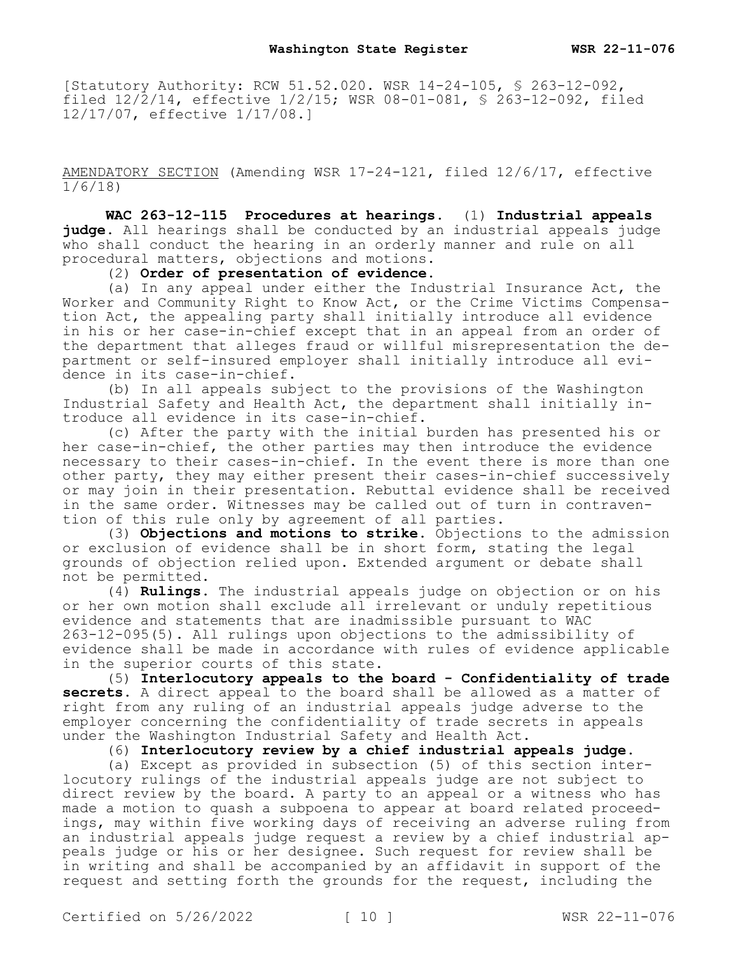[Statutory Authority: RCW 51.52.020. WSR 14-24-105, § 263-12-092, filed 12/2/14, effective 1/2/15; WSR 08-01-081, § 263-12-092, filed 12/17/07, effective 1/17/08.]

AMENDATORY SECTION (Amending WSR 17-24-121, filed 12/6/17, effective 1/6/18)

**WAC 263-12-115 Procedures at hearings.** (1) **Industrial appeals judge.** All hearings shall be conducted by an industrial appeals judge who shall conduct the hearing in an orderly manner and rule on all procedural matters, objections and motions.

(2) **Order of presentation of evidence.**

(a) In any appeal under either the Industrial Insurance Act, the Worker and Community Right to Know Act, or the Crime Victims Compensation Act, the appealing party shall initially introduce all evidence in his or her case-in-chief except that in an appeal from an order of the department that alleges fraud or willful misrepresentation the department or self-insured employer shall initially introduce all evidence in its case-in-chief.

(b) In all appeals subject to the provisions of the Washington Industrial Safety and Health Act, the department shall initially introduce all evidence in its case-in-chief.

(c) After the party with the initial burden has presented his or her case-in-chief, the other parties may then introduce the evidence necessary to their cases-in-chief. In the event there is more than one other party, they may either present their cases-in-chief successively or may join in their presentation. Rebuttal evidence shall be received in the same order. Witnesses may be called out of turn in contravention of this rule only by agreement of all parties.

(3) **Objections and motions to strike.** Objections to the admission or exclusion of evidence shall be in short form, stating the legal grounds of objection relied upon. Extended argument or debate shall not be permitted.

(4) **Rulings.** The industrial appeals judge on objection or on his or her own motion shall exclude all irrelevant or unduly repetitious evidence and statements that are inadmissible pursuant to WAC 263-12-095(5). All rulings upon objections to the admissibility of evidence shall be made in accordance with rules of evidence applicable in the superior courts of this state.

(5) **Interlocutory appeals to the board - Confidentiality of trade secrets.** A direct appeal to the board shall be allowed as a matter of right from any ruling of an industrial appeals judge adverse to the employer concerning the confidentiality of trade secrets in appeals under the Washington Industrial Safety and Health Act.

(6) **Interlocutory review by a chief industrial appeals judge.**

(a) Except as provided in subsection (5) of this section interlocutory rulings of the industrial appeals judge are not subject to direct review by the board. A party to an appeal or a witness who has made a motion to quash a subpoena to appear at board related proceedings, may within five working days of receiving an adverse ruling from an industrial appeals judge request a review by a chief industrial appeals judge or his or her designee. Such request for review shall be in writing and shall be accompanied by an affidavit in support of the request and setting forth the grounds for the request, including the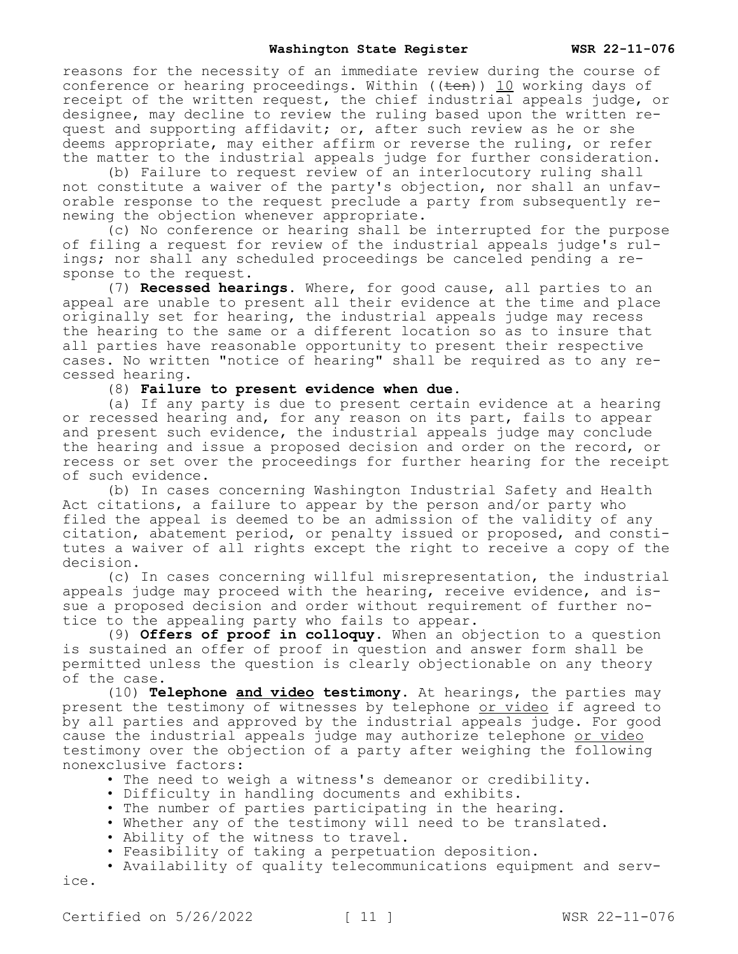reasons for the necessity of an immediate review during the course of conference or hearing proceedings. Within  $((\text{ten}))$  10 working days of receipt of the written request, the chief industrial appeals judge, or designee, may decline to review the ruling based upon the written request and supporting affidavit; or, after such review as he or she deems appropriate, may either affirm or reverse the ruling, or refer the matter to the industrial appeals judge for further consideration.

(b) Failure to request review of an interlocutory ruling shall not constitute a waiver of the party's objection, nor shall an unfavorable response to the request preclude a party from subsequently renewing the objection whenever appropriate.

(c) No conference or hearing shall be interrupted for the purpose of filing a request for review of the industrial appeals judge's rulings; nor shall any scheduled proceedings be canceled pending a response to the request.

(7) **Recessed hearings.** Where, for good cause, all parties to an appeal are unable to present all their evidence at the time and place originally set for hearing, the industrial appeals judge may recess the hearing to the same or a different location so as to insure that all parties have reasonable opportunity to present their respective cases. No written "notice of hearing" shall be required as to any recessed hearing.

## (8) **Failure to present evidence when due.**

(a) If any party is due to present certain evidence at a hearing or recessed hearing and, for any reason on its part, fails to appear and present such evidence, the industrial appeals judge may conclude the hearing and issue a proposed decision and order on the record, or recess or set over the proceedings for further hearing for the receipt of such evidence.

(b) In cases concerning Washington Industrial Safety and Health Act citations, a failure to appear by the person and/or party who filed the appeal is deemed to be an admission of the validity of any citation, abatement period, or penalty issued or proposed, and constitutes a waiver of all rights except the right to receive a copy of the decision.

(c) In cases concerning willful misrepresentation, the industrial appeals judge may proceed with the hearing, receive evidence, and issue a proposed decision and order without requirement of further notice to the appealing party who fails to appear.

(9) **Offers of proof in colloquy.** When an objection to a question is sustained an offer of proof in question and answer form shall be permitted unless the question is clearly objectionable on any theory of the case.

(10) **Telephone and video testimony.** At hearings, the parties may present the testimony of witnesses by telephone or video if agreed to by all parties and approved by the industrial appeals judge. For good cause the industrial appeals judge may authorize telephone or video testimony over the objection of a party after weighing the following nonexclusive factors:

- The need to weigh a witness's demeanor or credibility.
- Difficulty in handling documents and exhibits.
- The number of parties participating in the hearing.
- Whether any of the testimony will need to be translated.
- Ability of the witness to travel.
- Feasibility of taking a perpetuation deposition.

• Availability of quality telecommunications equipment and service.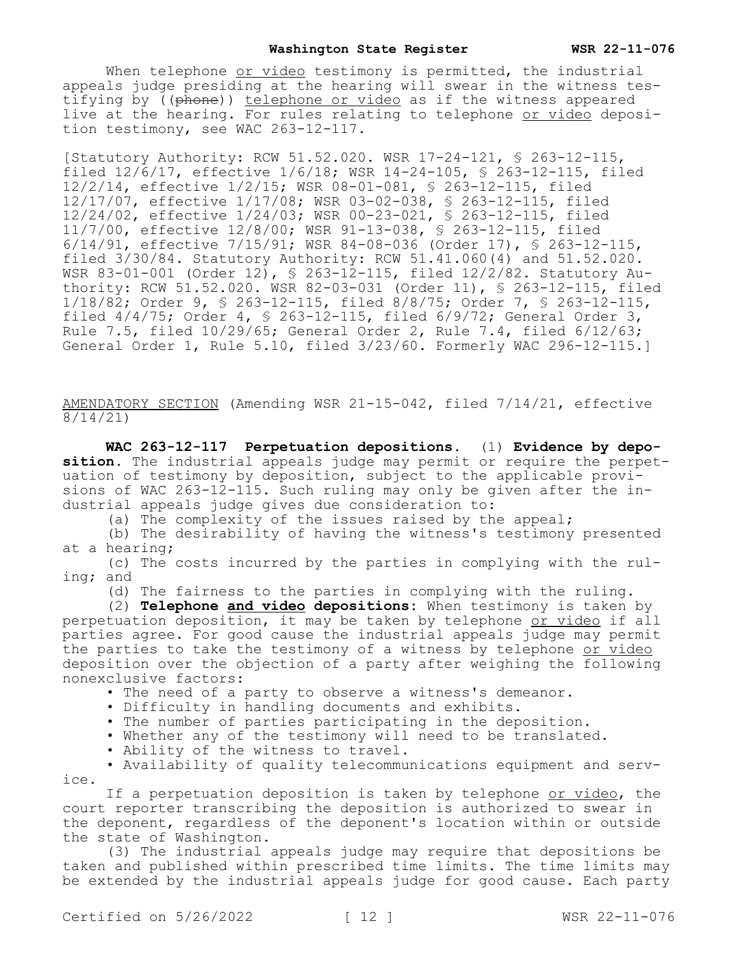When telephone or video testimony is permitted, the industrial appeals judge presiding at the hearing will swear in the witness testifying by ((phone)) telephone or video as if the witness appeared live at the hearing. For rules relating to telephone or video deposition testimony, see WAC 263-12-117.

[Statutory Authority: RCW 51.52.020. WSR 17-24-121, § 263-12-115, filed 12/6/17, effective 1/6/18; WSR 14-24-105, § 263-12-115, filed 12/2/14, effective 1/2/15; WSR 08-01-081, § 263-12-115, filed 12/17/07, effective 1/17/08; WSR 03-02-038, § 263-12-115, filed 12/24/02, effective 1/24/03; WSR 00-23-021, § 263-12-115, filed 11/7/00, effective 12/8/00; WSR 91-13-038, § 263-12-115, filed 6/14/91, effective 7/15/91; WSR 84-08-036 (Order 17), § 263-12-115, filed 3/30/84. Statutory Authority: RCW 51.41.060(4) and 51.52.020. WSR 83-01-001 (Order 12), § 263-12-115, filed 12/2/82. Statutory Authority: RCW 51.52.020. WSR 82-03-031 (Order 11), § 263-12-115, filed 1/18/82; Order 9, § 263-12-115, filed 8/8/75; Order 7, § 263-12-115, filed 4/4/75; Order 4, § 263-12-115, filed 6/9/72; General Order 3, Rule 7.5, filed 10/29/65; General Order 2, Rule 7.4, filed 6/12/63; General Order 1, Rule 5.10, filed 3/23/60. Formerly WAC 296-12-115.]

AMENDATORY SECTION (Amending WSR 21-15-042, filed 7/14/21, effective 8/14/21)

**WAC 263-12-117 Perpetuation depositions.** (1) **Evidence by deposition.** The industrial appeals judge may permit or require the perpetuation of testimony by deposition, subject to the applicable provisions of WAC 263-12-115. Such ruling may only be given after the industrial appeals judge gives due consideration to:

(a) The complexity of the issues raised by the appeal;

(b) The desirability of having the witness's testimony presented at a hearing;

(c) The costs incurred by the parties in complying with the ruling; and

(d) The fairness to the parties in complying with the ruling.

(2) **Telephone and video depositions:** When testimony is taken by perpetuation deposition, it may be taken by telephone or video if all parties agree. For good cause the industrial appeals judge may permit the parties to take the testimony of a witness by telephone or video deposition over the objection of a party after weighing the following nonexclusive factors:

• The need of a party to observe a witness's demeanor.

- Difficulty in handling documents and exhibits.
- The number of parties participating in the deposition.
- Whether any of the testimony will need to be translated.
- Ability of the witness to travel.

• Availability of quality telecommunications equipment and service.

If a perpetuation deposition is taken by telephone or video, the court reporter transcribing the deposition is authorized to swear in the deponent, regardless of the deponent's location within or outside the state of Washington.

(3) The industrial appeals judge may require that depositions be taken and published within prescribed time limits. The time limits may be extended by the industrial appeals judge for good cause. Each party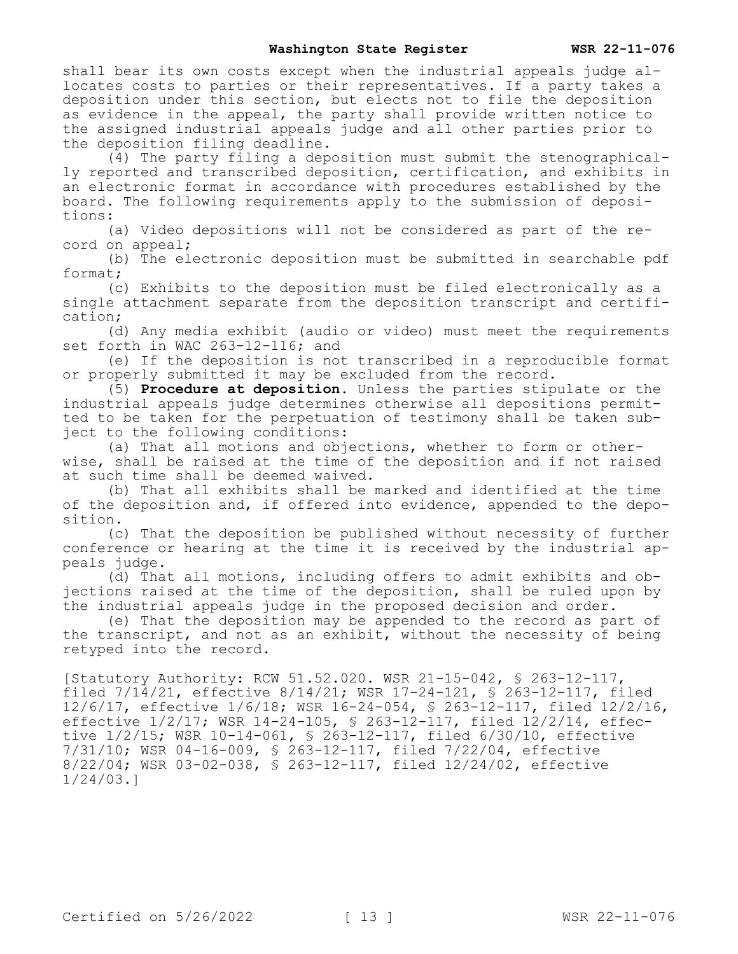shall bear its own costs except when the industrial appeals judge allocates costs to parties or their representatives. If a party takes a deposition under this section, but elects not to file the deposition as evidence in the appeal, the party shall provide written notice to the assigned industrial appeals judge and all other parties prior to the deposition filing deadline.

(4) The party filing a deposition must submit the stenographically reported and transcribed deposition, certification, and exhibits in an electronic format in accordance with procedures established by the board. The following requirements apply to the submission of depositions:

(a) Video depositions will not be considered as part of the record on appeal;

(b) The electronic deposition must be submitted in searchable pdf format;

(c) Exhibits to the deposition must be filed electronically as a single attachment separate from the deposition transcript and certification;

(d) Any media exhibit (audio or video) must meet the requirements set forth in WAC 263-12-116; and

(e) If the deposition is not transcribed in a reproducible format or properly submitted it may be excluded from the record.

(5) **Procedure at deposition.** Unless the parties stipulate or the industrial appeals judge determines otherwise all depositions permitted to be taken for the perpetuation of testimony shall be taken subject to the following conditions:

(a) That all motions and objections, whether to form or otherwise, shall be raised at the time of the deposition and if not raised at such time shall be deemed waived.

(b) That all exhibits shall be marked and identified at the time of the deposition and, if offered into evidence, appended to the deposition.

(c) That the deposition be published without necessity of further conference or hearing at the time it is received by the industrial appeals judge.

(d) That all motions, including offers to admit exhibits and objections raised at the time of the deposition, shall be ruled upon by the industrial appeals judge in the proposed decision and order.

(e) That the deposition may be appended to the record as part of the transcript, and not as an exhibit, without the necessity of being retyped into the record.

[Statutory Authority: RCW 51.52.020. WSR 21-15-042, § 263-12-117, filed 7/14/21, effective 8/14/21; WSR 17-24-121, § 263-12-117, filed 12/6/17, effective 1/6/18; WSR 16-24-054, § 263-12-117, filed 12/2/16, effective 1/2/17; WSR 14-24-105, § 263-12-117, filed 12/2/14, effective 1/2/15; WSR 10-14-061, § 263-12-117, filed 6/30/10, effective 7/31/10; WSR 04-16-009, § 263-12-117, filed 7/22/04, effective 8/22/04; WSR 03-02-038, § 263-12-117, filed 12/24/02, effective 1/24/03.]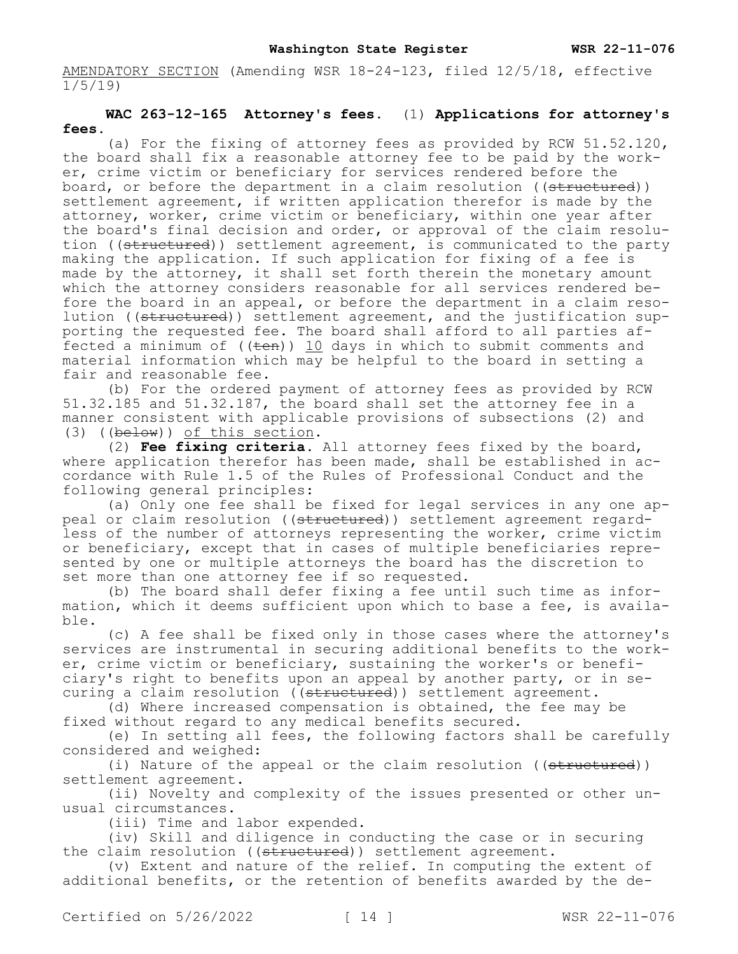AMENDATORY SECTION (Amending WSR 18-24-123, filed 12/5/18, effective 1/5/19)

# **WAC 263-12-165 Attorney's fees.** (1) **Applications for attorney's fees.**

(a) For the fixing of attorney fees as provided by RCW 51.52.120, the board shall fix a reasonable attorney fee to be paid by the worker, crime victim or beneficiary for services rendered before the board, or before the department in a claim resolution ((structured)) settlement agreement, if written application therefor is made by the attorney, worker, crime victim or beneficiary, within one year after the board's final decision and order, or approval of the claim resolution ((structured)) settlement agreement, is communicated to the party making the application. If such application for fixing of a fee is made by the attorney, it shall set forth therein the monetary amount which the attorney considers reasonable for all services rendered before the board in an appeal, or before the department in a claim resolution ((structured)) settlement agreement, and the justification supporting the requested fee. The board shall afford to all parties affected a minimum of  $((\text{ten}))$  10 days in which to submit comments and material information which may be helpful to the board in setting a fair and reasonable fee.

(b) For the ordered payment of attorney fees as provided by RCW 51.32.185 and 51.32.187, the board shall set the attorney fee in a manner consistent with applicable provisions of subsections (2) and (3) ((below)) of this section.

(2) **Fee fixing criteria.** All attorney fees fixed by the board, where application therefor has been made, shall be established in accordance with Rule 1.5 of the Rules of Professional Conduct and the following general principles:

(a) Only one fee shall be fixed for legal services in any one appeal or claim resolution ((structured)) settlement agreement regardless of the number of attorneys representing the worker, crime victim or beneficiary, except that in cases of multiple beneficiaries represented by one or multiple attorneys the board has the discretion to set more than one attorney fee if so requested.

(b) The board shall defer fixing a fee until such time as information, which it deems sufficient upon which to base a fee, is available.

(c) A fee shall be fixed only in those cases where the attorney's services are instrumental in securing additional benefits to the worker, crime victim or beneficiary, sustaining the worker's or beneficiary's right to benefits upon an appeal by another party, or in securing a claim resolution ((structured)) settlement agreement.

(d) Where increased compensation is obtained, the fee may be fixed without regard to any medical benefits secured.

(e) In setting all fees, the following factors shall be carefully considered and weighed:

(i) Nature of the appeal or the claim resolution ((structured)) settlement agreement.

(ii) Novelty and complexity of the issues presented or other unusual circumstances.

(iii) Time and labor expended.

(iv) Skill and diligence in conducting the case or in securing the claim resolution ((structured)) settlement agreement.

(v) Extent and nature of the relief. In computing the extent of additional benefits, or the retention of benefits awarded by the de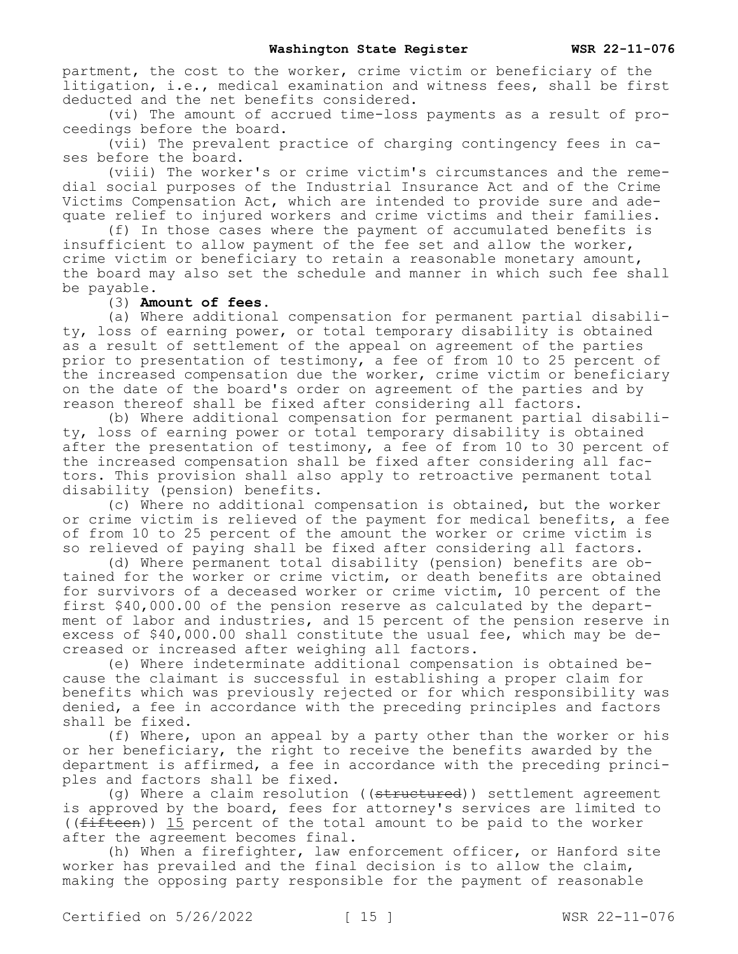partment, the cost to the worker, crime victim or beneficiary of the litigation, i.e., medical examination and witness fees, shall be first deducted and the net benefits considered.

(vi) The amount of accrued time-loss payments as a result of proceedings before the board.

(vii) The prevalent practice of charging contingency fees in cases before the board.

(viii) The worker's or crime victim's circumstances and the remedial social purposes of the Industrial Insurance Act and of the Crime Victims Compensation Act, which are intended to provide sure and adequate relief to injured workers and crime victims and their families.

(f) In those cases where the payment of accumulated benefits is insufficient to allow payment of the fee set and allow the worker, crime victim or beneficiary to retain a reasonable monetary amount, the board may also set the schedule and manner in which such fee shall be payable.

(3) **Amount of fees.** 

(a) Where additional compensation for permanent partial disability, loss of earning power, or total temporary disability is obtained as a result of settlement of the appeal on agreement of the parties prior to presentation of testimony, a fee of from 10 to 25 percent of the increased compensation due the worker, crime victim or beneficiary on the date of the board's order on agreement of the parties and by reason thereof shall be fixed after considering all factors.

(b) Where additional compensation for permanent partial disability, loss of earning power or total temporary disability is obtained after the presentation of testimony, a fee of from 10 to 30 percent of the increased compensation shall be fixed after considering all factors. This provision shall also apply to retroactive permanent total disability (pension) benefits.

(c) Where no additional compensation is obtained, but the worker or crime victim is relieved of the payment for medical benefits, a fee of from 10 to 25 percent of the amount the worker or crime victim is so relieved of paying shall be fixed after considering all factors.

(d) Where permanent total disability (pension) benefits are obtained for the worker or crime victim, or death benefits are obtained for survivors of a deceased worker or crime victim, 10 percent of the first \$40,000.00 of the pension reserve as calculated by the department of labor and industries, and 15 percent of the pension reserve in excess of \$40,000.00 shall constitute the usual fee, which may be decreased or increased after weighing all factors.

(e) Where indeterminate additional compensation is obtained because the claimant is successful in establishing a proper claim for benefits which was previously rejected or for which responsibility was denied, a fee in accordance with the preceding principles and factors shall be fixed.

(f) Where, upon an appeal by a party other than the worker or his or her beneficiary, the right to receive the benefits awarded by the department is affirmed, a fee in accordance with the preceding principles and factors shall be fixed.

(q) Where a claim resolution ((structured)) settlement agreement is approved by the board, fees for attorney's services are limited to (( $f$ ifteen)) 15 percent of the total amount to be paid to the worker after the agreement becomes final.

(h) When a firefighter, law enforcement officer, or Hanford site worker has prevailed and the final decision is to allow the claim, making the opposing party responsible for the payment of reasonable